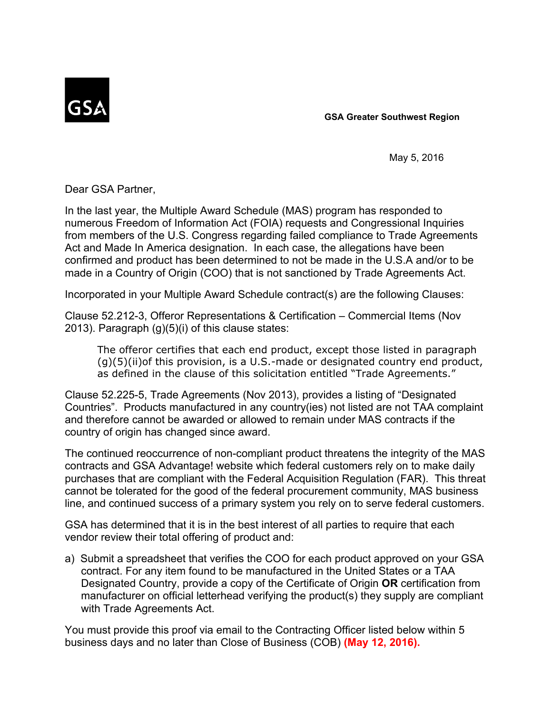

**GSA Greater Southwest Region**

May 5, 2016

Dear GSA Partner,

In the last year, the Multiple Award Schedule (MAS) program has responded to numerous Freedom of Information Act (FOIA) requests and Congressional Inquiries from members of the U.S. Congress regarding failed compliance to Trade Agreements Act and Made In America designation. In each case, the allegations have been confirmed and product has been determined to not be made in the U.S.A and/or to be made in a Country of Origin (COO) that is not sanctioned by Trade Agreements Act.

Incorporated in your Multiple Award Schedule contract(s) are the following Clauses:

Clause 52.2123, Offeror Representations & Certification – Commercial Items (Nov 2013). Paragraph (g)(5)(i) of this clause states:

The offeror certifies that each end product, except those listed in paragraph  $(g)(5)(ii)$ of this provision, is a U.S.-made or designated country end product, as defined in the clause of this solicitation entitled "Trade Agreements."

Clause 52.2255, Trade Agreements (Nov 2013), provides a listing of "Designated Countries". Products manufactured in any country(ies) not listed are not TAA complaint and therefore cannot be awarded or allowed to remain under MAS contracts if the country of origin has changed since award.

The continued reoccurrence of non-compliant product threatens the integrity of the MAS contracts and GSA Advantage! website which federal customers rely on to make daily purchases that are compliant with the Federal Acquisition Regulation (FAR). This threat cannot be tolerated for the good of the federal procurement community, MAS business line, and continued success of a primary system you rely on to serve federal customers. Clause 52.225-5, Trade Agreements (Nov 2013), provides a listing of "Designated<br>Countries". Products manufactured in any country(ies) not listed are not TAA complaint<br>and therefore cannot be awarded or allowed to remain un

GSA has determined that it is in the best interest of all parties to require that each vendor review their total offering of product and:

contract. For any item found to be manufactured in the United States or a TAA Designated Country, provide a copy of the Certificate of Origin **OR** certification from manufacturer on official letterhead verifying the product(s) they supply are compliant with Trade Agreements Act.

You must provide this proof via email to the Contracting Officer listed below within 5 business days and no later than Close of Business (COB) **(May 12, 2016).**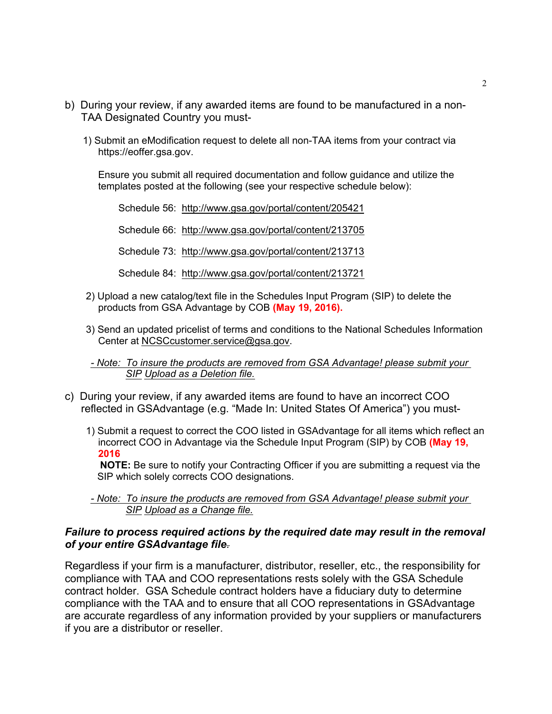- b) During your review, if any awarded items are found to be manufactured in a non-<br>TAA Designated Country you must-<br>1) Submit an eModification request to delete all non-TAA items from your contract via TAA Designated Country you must
	- 1) Submit an eModification request to delete all nonTAA items from your contract via https://eoffer.gsa.gov.

Ensure you submit all required documentation and follow guidance and utilize the templates posted at the following (see your respective schedule below):

Schedule 56: http://www.gsa.gov/portal/content/205421 Schedule 66: http://www.gsa.gov/portal/content/213705 Schedule 73: http://www.gsa.gov/portal/content/213713 Schedule 84: http://www.gsa.gov/portal/content/213721 2) Submit an elwodincation request to delete all non-1AA items from your contract via<br>
https://eoffer.gsa.gov.<br>
Ensure you submit all required documentation and follow guidance and utilize the<br>
templates posted at the foll Ensure you submit all required documentation and follow guidance and utilize the<br>templates posted at the following (see your respective schedule below):<br>Schedule 56: http://www.gsa.gov/portal/content/213705<br>Schedule 73: ht Schedule 66: http://www.gsa.gov/portal/content/213705<br>
Schedule 73: http://www.gsa.gov/portal/content/213713<br>
Schedule 84: http://www.gsa.gov/portal/content/213721<br>
2) Upload a new catalog/text file in the Schedules Input

- products from GSA Advantage by COB **(May 19, 2016).**
- Center at NCSCcustomer.service@gsa.gov.
- *Note: To insure the products are removed from GSA Advantage! please submit your*
- reflected in GSAdvantage (e.g. "Made In: United States Of America") you must-
	- 1) Submit a request to correct the COO listed in GSAdvantage for all items which reflect an incorrect COO in Advantage via the Schedule Input Program (SIP) by COB **(May 19, 2016**

**NOTE:** Be sure to notify your Contracting Officer if you are submitting a request via the SIP which solely corrects COO designations.

 *Note: To insure the products are removed from GSA Advantage! please submit your SIP Upload as a Change file.*

## *Failure to process required actions by the required date may result in the removal of your entire GSAdvantage file.*

Regardless if your firm is a manufacturer, distributor, reseller, etc., the responsibility for compliance with TAA and COO representations rests solely with the GSA Schedule contract holder. GSA Schedule contract holders have a fiduciary duty to determine compliance with the TAA and to ensure that all COO representations in GSAdvantage are accurate regardless of any information provided by your suppliers or manufacturers if you are a distributor or reseller.